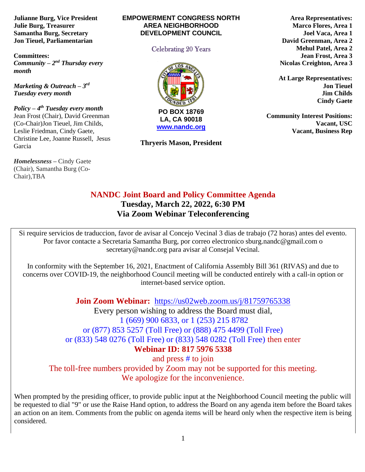**Julianne Burg, Vice President Julie Burg, Treasurer Samantha Burg, Secretary Jon Tieuel, Parliamentarian**

**Committees:**  *Community – 2<sup>nd</sup> Thursday every month* 

*Marketing & Outreach – 3 rd Tuesday every month*

*Policy – 4 th Tuesday every month*  Jean Frost (Chair), David Greenman (Co-Chair)Jon Tieuel, Jim Childs, Leslie Friedman, Cindy Gaete, Christine Lee, Joanne Russell, Jesus Garcia

*Homelessness* **–** Cindy Gaete (Chair), Samantha Burg (Co-Chair),TBA

#### **EMPOWERMENT CONGRESS NORTH AREA NEIGHBORHOOD DEVELOPMENT COUNCIL**

#### Celebrating 20 Years



**[www.nandc.org](http://www.nandc.org/)**

**Thryeris Mason, President**

**Area Representatives: Marco Flores, Area 1 Joel Vaca, Area 1 David Greenman, Area 2 Mehul Patel, Area 2 Jean Frost, Area 3 Nicolas Creighton, Area 3**

**At Large Representatives: Jon Tieuel Jim Childs Cindy Gaete**

**Community Interest Positions: Vacant, USC Vacant, Business Rep**

# **NANDC Joint Board and Policy Committee Agenda Tuesday, March 22, 2022, 6:30 PM Via Zoom Webinar Teleconferencing**

Si require servicios de traduccion, favor de avisar al Concejo Vecinal 3 dias de trabajo (72 horas) antes del evento. Por favor contacte a Secretaria Samantha Burg, por correo electronico sburg.nandc@gmail.com o secretary@nandc.org para avisar al Consejal Vecinal.

In conformity with the September 16, 2021, Enactment of California Assembly Bill 361 (RIVAS) and due to concerns over COVID-19, the neighborhood Council meeting will be conducted entirely with a call-in option or internet-based service option.

**Join Zoom Webinar:** <https://us02web.zoom.us/j/81759765338>

Every person wishing to address the Board must dial, 1 (669) 900 6833, or 1 (253) 215 8782 or (877) 853 5257 (Toll Free) or (888) 475 4499 (Toll Free) or (833) 548 0276 (Toll Free) or (833) 548 0282 (Toll Free) then enter **Webinar ID: 817 5976 5338**

and press # to join The toll-free numbers provided by Zoom may not be supported for this meeting. We apologize for the inconvenience.

When prompted by the presiding officer, to provide public input at the Neighborhood Council meeting the public will be requested to dial "9" or use the Raise Hand option, to address the Board on any agenda item before the Board takes an action on an item. Comments from the public on agenda items will be heard only when the respective item is being considered.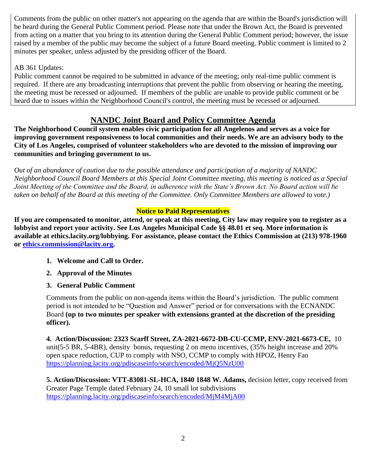Comments from the public on other matter's not appearing on the agenda that are within the Board's jurisdiction will be heard during the General Public Comment period. Please note that under the Brown Act, the Board is prevented from acting on a matter that you bring to its attention during the General Public Comment period; however, the issue raised by a member of the public may become the subject of a future Board meeting. Public comment is limited to 2 minutes per speaker, unless adjusted by the presiding officer of the Board.

## AB 361 Updates:

Public comment cannot be required to be submitted in advance of the meeting; only real-time public comment is required. If there are any broadcasting interruptions that prevent the public from observing or hearing the meeting, the meeting must be recessed or adjourned. If members of the public are unable to provide public comment or be heard due to issues within the Neighborhood Council's control, the meeting must be recessed or adjourned.

# **NANDC Joint Board and Policy Committee Agenda**

**The Neighborhood Council system enables civic participation for all Angelenos and serves as a voice for improving government responsiveness to local communities and their needs. We are an advisory body to the City of Los Angeles, comprised of volunteer stakeholders who are devoted to the mission of improving our communities and bringing government to us.**

*Out of an abundance of caution due to the possible attendance and participation of a majority of NANDC Neighborhood Council Board Members at this Special Joint Committee meeting, this meeting is noticed as a Special Joint Meeting of the Committee and the Board, in adherence with the State's Brown Act. No Board action will be taken on behalf of the Board at this meeting of the Committee. Only Committee Members are allowed to vote.)*

## **Notice to Paid Representatives**

**If you are compensated to monitor, attend, or speak at this meeting, City law may require you to register as a lobbyist and report your activity. See Los Angeles Municipal Code §§ 48.01 et seq. More information is available at ethics.lacity.org/lobbying. For assistance, please contact the Ethics Commission at (213) 978-1960 or [ethics.commission@lacity.org.](mailto:ethics.commission@lacity.org)**

- **1. Welcome and Call to Order.**
- **2. Approval of the Minutes**
- **3. General Public Comment**

Comments from the public on non-agenda items within the Board's jurisdiction. The public comment period is not intended to be "Question and Answer" period or for conversations with the ECNANDC Board **(up to two minutes per speaker with extensions granted at the discretion of the presiding officer).**

**4. Action/Discussion: 2323 Scarff Street, ZA-2021-6672-DB-CU-CCMP, ENV-2021-6673-CE,** 10 unit(5-5 BR, 5-4BR), density bonus, requesting 2 on menu incentives, (35% height increase and 20% open space reduction, CUP to comply with NSO, CCMP to comply with HPOZ, Henry Fan <https://planning.lacity.org/pdiscaseinfo/search/encoded/MjQ5NzU00>

**5. Action/Discussion: VTT-83081-SL-HCA, 1840 1848 W. Adams,** decision letter, copy received from Greater Page Temple dated February 24, 10 small lot subdivisions <https://planning.lacity.org/pdiscaseinfo/search/encoded/MjM4MjA00>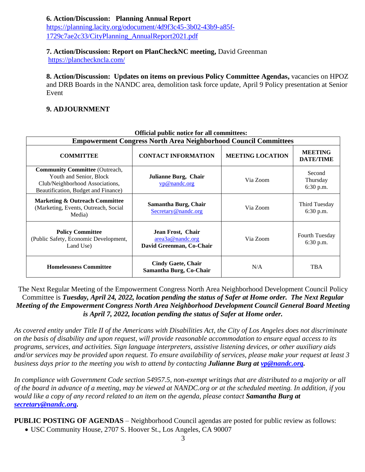**6. Action/Discussion: Planning Annual Report** https://planning.lacity.org/odocument/4d9f3c45-3b02-43b9-a85f-

1729c7ae2c33/CityPlanning\_AnnualReport2021.pdf

#### **7. Action/Discussion: Report on PlanCheckNC meeting,** David Greenman

<https://plancheckncla.com/>

**8. Action/Discussion: Updates on items on previous Policy Committee Agendas,** vacancies on HPOZ and DRB Boards in the NANDC area, demolition task force update, April 9 Policy presentation at Senior Event

#### **9. ADJOURNMENT**

| <b>Official public notice for all committees:</b><br><b>Empowerment Congress North Area Neighborhood Council Committees</b>                |                                                                   |                         |                                    |
|--------------------------------------------------------------------------------------------------------------------------------------------|-------------------------------------------------------------------|-------------------------|------------------------------------|
| <b>COMMITTEE</b>                                                                                                                           | <b>CONTACT INFORMATION</b>                                        | <b>MEETING LOCATION</b> | <b>MEETING</b><br><b>DATE/TIME</b> |
| <b>Community Committee (Outreach,</b><br>Youth and Senior, Block<br>Club/Neighborhood Associations,<br>Beautification, Budget and Finance) | Julianne Burg, Chair<br>vp@nandc.org                              | Via Zoom                | Second<br>Thursday<br>6:30 p.m.    |
| <b>Marketing &amp; Outreach Committee</b><br>(Marketing, Events, Outreach, Social<br>Media)                                                | Samantha Burg, Chair<br>Secretary@nandc.org                       | Via Zoom                | Third Tuesday<br>6:30 p.m.         |
| <b>Policy Committee</b><br>(Public Safety, Economic Development,<br>Land Use)                                                              | Jean Frost, Chair<br>area3a@nandc.org<br>David Greenman, Co-Chair | Via Zoom                | Fourth Tuesday<br>6:30 p.m.        |
| <b>Homelessness Committee</b>                                                                                                              | <b>Cindy Gaete, Chair</b><br>Samantha Burg, Co-Chair              | N/A                     | <b>TBA</b>                         |

#### **Official public notice for all committees:**

The Next Regular Meeting of the Empowerment Congress North Area Neighborhood Development Council Policy Committee is *Tuesday, April 24, 2022, location pending the status of Safer at Home order. The Next Regular Meeting of the Empowerment Congress North Area Neighborhood Development Council General Board Meeting is April 7, 2022, location pending the status of Safer at Home order.* 

*As covered entity under Title II of the Americans with Disabilities Act, the City of Los Angeles does not discriminate on the basis of disability and upon request, will provide reasonable accommodation to ensure equal access to its programs, services, and activities. Sign language interpreters, assistive listening devices, or other auxiliary aids and/or services may be provided upon request. To ensure availability of services, please make your request at least 3 business days prior to the meeting you wish to attend by contacting Julianne Burg at [vp@nandc.org.](mailto:vp@nandc.org)*

*In compliance with Government Code section 54957.5, non-exempt writings that are distributed to a majority or all of the board in advance of a meeting, may be viewed at NANDC.org or at the scheduled meeting. In addition, if you would like a copy of any record related to an item on the agenda, please contact Samantha Burg at [secretary@nandc.org.](mailto:secretary@nandc.org)*

**PUBLIC POSTING OF AGENDAS** – Neighborhood Council agendas are posted for public review as follows:

• USC Community House, 2707 S. Hoover St., Los Angeles, CA 90007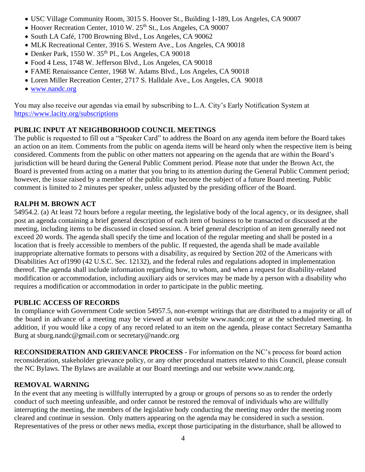- USC Village Community Room, 3015 S. Hoover St., Building 1-189, Los Angeles, CA 90007
- Hoover Recreation Center, 1010 W. 25<sup>th</sup> St., Los Angeles, CA 90007
- South LA Café, 1700 Browning Blvd., Los Angeles, CA 90062
- MLK Recreational Center, 3916 S. Western Ave., Los Angeles, CA 90018
- Denker Park, 1550 W.  $35<sup>th</sup>$  Pl., Los Angeles, CA 90018
- Food 4 Less, 1748 W. Jefferson Blvd., Los Angeles, CA 90018
- FAME Renaissance Center, 1968 W. Adams Blvd., Los Angeles, CA 90018
- Loren Miller Recreation Center, 2717 S. Halldale Ave., Los Angeles, CA 90018
- [www.nandc.org](http://www.nandc.org/)

You may also receive our agendas via email by subscribing to L.A. City's Early Notification System at <https://www.lacity.org/subscriptions>

## **PUBLIC INPUT AT NEIGHBORHOOD COUNCIL MEETINGS**

The public is requested to fill out a "Speaker Card" to address the Board on any agenda item before the Board takes an action on an item. Comments from the public on agenda items will be heard only when the respective item is being considered. Comments from the public on other matters not appearing on the agenda that are within the Board's jurisdiction will be heard during the General Public Comment period. Please note that under the Brown Act, the Board is prevented from acting on a matter that you bring to its attention during the General Public Comment period; however, the issue raised by a member of the public may become the subject of a future Board meeting. Public comment is limited to 2 minutes per speaker, unless adjusted by the presiding officer of the Board.

### **RALPH M. BROWN ACT**

54954.2. (a) At least 72 hours before a regular meeting, the legislative body of the local agency, or its designee, shall post an agenda containing a brief general description of each item of business to be transacted or discussed at the meeting, including items to be discussed in closed session. A brief general description of an item generally need not exceed 20 words. The agenda shall specify the time and location of the regular meeting and shall be posted in a location that is freely accessible to members of the public. If requested, the agenda shall be made available inappropriate alternative formats to persons with a disability, as required by Section 202 of the Americans with Disabilities Act of1990 (42 U.S.C. Sec. 12132), and the federal rules and regulations adopted in implementation thereof. The agenda shall include information regarding how, to whom, and when a request for disability-related modification or accommodation, including auxiliary aids or services may be made by a person with a disability who requires a modification or accommodation in order to participate in the public meeting.

### **PUBLIC ACCESS OF RECORDS**

In compliance with Government Code section 54957.5, non-exempt writings that are distributed to a majority or all of the board in advance of a meeting may be viewed at our website www.nandc.org or at the scheduled meeting. In addition, if you would like a copy of any record related to an item on the agenda, please contact Secretary Samantha Burg at sburg.nandc@gmail.com or secretary@nandc.org

**RECONSIDERATION AND GRIEVANCE PROCESS** - For information on the NC's process for board action reconsideration, stakeholder grievance policy, or any other procedural matters related to this Council, please consult the NC Bylaws. The Bylaws are available at our Board meetings and our website www.nandc.org.

### **REMOVAL WARNING**

In the event that any meeting is willfully interrupted by a group or groups of persons so as to render the orderly conduct of such meeting unfeasible, and order cannot be restored the removal of individuals who are willfully interrupting the meeting, the members of the legislative body conducting the meeting may order the meeting room cleared and continue in session. Only matters appearing on the agenda may be considered in such a session. Representatives of the press or other news media, except those participating in the disturbance, shall be allowed to